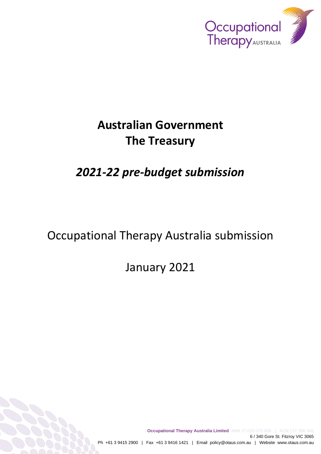

# **Australian Government The Treasury**

# *2021-22 pre-budget submission*

# Occupational Therapy Australia submission

January 2021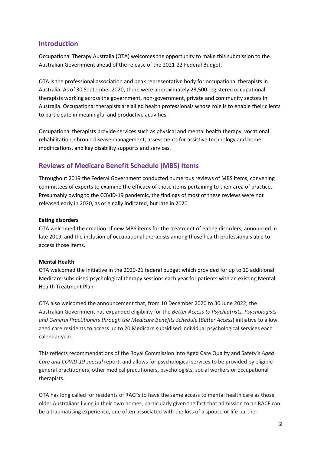## **Introduction**

Occupational Therapy Australia (OTA) welcomes the opportunity to make this submission to the Australian Government ahead of the release of the 2021-22 Federal Budget.

OTA is the professional association and peak representative body for occupational therapists in Australia. As of 30 September 2020, there were approximately 23,500 registered occupational therapists working across the government, non-government, private and community sectors in Australia. Occupational therapists are allied health professionals whose role is to enable their clients to participate in meaningful and productive activities.

Occupational therapists provide services such as physical and mental health therapy, vocational rehabilitation, chronic disease management, assessments for assistive technology and home modifications, and key disability supports and services.

## **Reviews of Medicare Benefit Schedule (MBS) Items**

Throughout 2019 the Federal Government conducted numerous reviews of MBS items, convening committees of experts to examine the efficacy of those items pertaining to their area of practice. Presumably owing to the COVID-19 pandemic, the findings of most of these reviews were not released early in 2020, as originally indicated, but late in 2020.

#### **Eating disorders**

OTA welcomed the creation of new MBS items for the treatment of eating disorders, announced in late 2019, and the inclusion of occupational therapists among those health professionals able to access those items.

#### **Mental Health**

OTA welcomed the initiative in the 2020-21 federal budget which provided for up to 10 additional Medicare-subsidised psychological therapy sessions each year for patients with an existing Mental Health Treatment Plan.

OTA also welcomed the announcement that, from 10 December 2020 to 30 June 2022, the Australian Government has expanded eligibility for the *Better Access to Psychiatrists, Psychologists and General Practitioners through the Medicare Benefits Schedule* (*Better Access*) initiative to allow aged care residents to access up to 20 Medicare subsidised individual psychological services each calendar year.

This reflects recommendations of the Royal Commission into Aged Care Quality and Safety's *Aged Care and COVID-19 special* report, and allows for psychological services to be provided by eligible general practitioners, other medical practitioners, psychologists, social workers or occupational therapists.

OTA has long called for residents of RACFs to have the same access to mental health care as those older Australians living in their own homes, particularly given the fact that admission to an RACF can be a traumatising experience, one often associated with the loss of a spouse or life partner.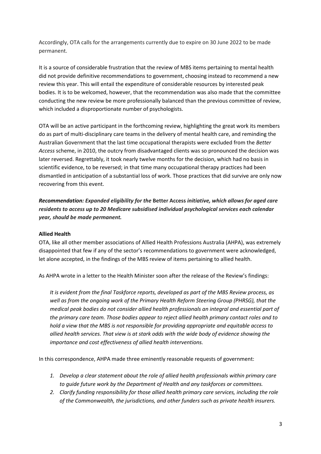Accordingly, OTA calls for the arrangements currently due to expire on 30 June 2022 to be made permanent.

It is a source of considerable frustration that the review of MBS items pertaining to mental health did not provide definitive recommendations to government, choosing instead to recommend a new review this year. This will entail the expenditure of considerable resources by interested peak bodies. It is to be welcomed, however, that the recommendation was also made that the committee conducting the new review be more professionally balanced than the previous committee of review, which included a disproportionate number of psychologists.

OTA will be an active participant in the forthcoming review, highlighting the great work its members do as part of multi-disciplinary care teams in the delivery of mental health care, and reminding the Australian Government that the last time occupational therapists were excluded from the *Better Access* scheme, in 2010, the outcry from disadvantaged clients was so pronounced the decision was later reversed. Regrettably, it took nearly twelve months for the decision, which had no basis in scientific evidence, to be reversed; in that time many occupational therapy practices had been dismantled in anticipation of a substantial loss of work. Those practices that did survive are only now recovering from this event.

*Recommendation: Expanded eligibility for the* **Better Access** *initiative, which allows for aged care residents to access up to 20 Medicare subsidised individual psychological services each calendar year, should be made permanent.*

#### **Allied Health**

OTA, like all other member associations of Allied Health Professions Australia (AHPA), was extremely disappointed that few if any of the sector's recommendations to government were acknowledged, let alone accepted, in the findings of the MBS review of items pertaining to allied health.

As AHPA wrote in a letter to the Health Minister soon after the release of the Review's findings:

*It is evident from the final Taskforce reports, developed as part of the MBS Review process, as well as from the ongoing work of the Primary Health Reform Steering Group (PHRSG), that the medical peak bodies do not consider allied health professionals an integral and essential part of the primary care team. Those bodies appear to reject allied health primary contact roles and to hold a view that the MBS is not responsible for providing appropriate and equitable access to allied health services. That view is at stark odds with the wide body of evidence showing the importance and cost effectiveness of allied health interventions.*

In this correspondence, AHPA made three eminently reasonable requests of government:

- *1. Develop a clear statement about the role of allied health professionals within primary care to guide future work by the Department of Health and any taskforces or committees.*
- *2. Clarify funding responsibility for those allied health primary care services, including the role of the Commonwealth, the jurisdictions, and other funders such as private health insurers.*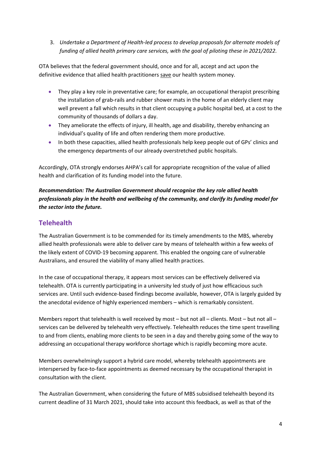3. *Undertake a Department of Health-led process to develop proposals for alternate models of funding of allied health primary care services, with the goal of piloting these in 2021/2022.*

OTA believes that the federal government should, once and for all, accept and act upon the definitive evidence that allied health practitioners save our health system money.

- They play a key role in preventative care; for example, an occupational therapist prescribing the installation of grab-rails and rubber shower mats in the home of an elderly client may well prevent a fall which results in that client occupying a public hospital bed, at a cost to the community of thousands of dollars a day.
- They ameliorate the effects of injury, ill health, age and disability, thereby enhancing an individual's quality of life and often rendering them more productive.
- In both these capacities, allied health professionals help keep people out of GPs' clinics and the emergency departments of our already overstretched public hospitals.

Accordingly, OTA strongly endorses AHPA's call for appropriate recognition of the value of allied health and clarification of its funding model into the future.

*Recommendation: The Australian Government should recognise the key role allied health professionals play in the health and wellbeing of the community, and clarify its funding model for the sector into the future.*

# **Telehealth**

The Australian Government is to be commended for its timely amendments to the MBS, whereby allied health professionals were able to deliver care by means of telehealth within a few weeks of the likely extent of COVID-19 becoming apparent. This enabled the ongoing care of vulnerable Australians, and ensured the viability of many allied health practices.

In the case of occupational therapy, it appears most services can be effectively delivered via telehealth. OTA is currently participating in a university led study of just how efficacious such services are. Until such evidence-based findings become available, however, OTA is largely guided by the anecdotal evidence of highly experienced members – which is remarkably consistent.

Members report that telehealth is well received by most – but not all – clients. Most – but not all – services can be delivered by telehealth very effectively. Telehealth reduces the time spent travelling to and from clients, enabling more clients to be seen in a day and thereby going some of the way to addressing an occupational therapy workforce shortage which is rapidly becoming more acute.

Members overwhelmingly support a hybrid care model, whereby telehealth appointments are interspersed by face-to-face appointments as deemed necessary by the occupational therapist in consultation with the client.

The Australian Government, when considering the future of MBS subsidised telehealth beyond its current deadline of 31 March 2021, should take into account this feedback, as well as that of the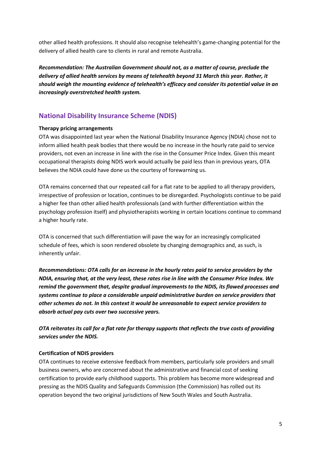other allied health professions. It should also recognise telehealth's game-changing potential for the delivery of allied health care to clients in rural and remote Australia.

*Recommendation: The Australian Government should not, as a matter of course, preclude the delivery of allied health services by means of telehealth beyond 31 March this year. Rather, it should weigh the mounting evidence of telehealth's efficacy and consider its potential value in an increasingly overstretched health system.* 

# **National Disability Insurance Scheme (NDIS)**

#### **Therapy pricing arrangements**

OTA was disappointed last year when the National Disability Insurance Agency (NDIA) chose not to inform allied health peak bodies that there would be no increase in the hourly rate paid to service providers, not even an increase in line with the rise in the Consumer Price Index. Given this meant occupational therapists doing NDIS work would actually be paid less than in previous years, OTA believes the NDIA could have done us the courtesy of forewarning us.

OTA remains concerned that our repeated call for a flat rate to be applied to all therapy providers, irrespective of profession or location, continues to be disregarded. Psychologists continue to be paid a higher fee than other allied health professionals (and with further differentiation within the psychology profession itself) and physiotherapists working in certain locations continue to command a higher hourly rate.

OTA is concerned that such differentiation will pave the way for an increasingly complicated schedule of fees, which is soon rendered obsolete by changing demographics and, as such, is inherently unfair.

*Recommendations: OTA calls for an increase in the hourly rates paid to service providers by the NDIA, ensuring that, at the very least, these rates rise in line with the Consumer Price Index. We remind the government that, despite gradual improvements to the NDIS, its flawed processes and systems continue to place a considerable unpaid administrative burden on service providers that other schemes do not. In this context it would be unreasonable to expect service providers to absorb actual pay cuts over two successive years.*

*OTA reiterates its call for a flat rate for therapy supports that reflects the true costs of providing services under the NDIS.*

#### **Certification of NDIS providers**

OTA continues to receive extensive feedback from members, particularly sole providers and small business owners, who are concerned about the administrative and financial cost of seeking certification to provide early childhood supports. This problem has become more widespread and pressing as the NDIS Quality and Safeguards Commission (the Commission) has rolled out its operation beyond the two original jurisdictions of New South Wales and South Australia.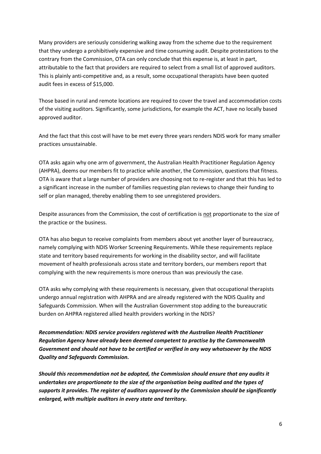Many providers are seriously considering walking away from the scheme due to the requirement that they undergo a prohibitively expensive and time consuming audit. Despite protestations to the contrary from the Commission, OTA can only conclude that this expense is, at least in part, attributable to the fact that providers are required to select from a small list of approved auditors. This is plainly anti-competitive and, as a result, some occupational therapists have been quoted audit fees in excess of \$15,000.

Those based in rural and remote locations are required to cover the travel and accommodation costs of the visiting auditors. Significantly, some jurisdictions, for example the ACT, have no locally based approved auditor.

And the fact that this cost will have to be met every three years renders NDIS work for many smaller practices unsustainable.

OTA asks again why one arm of government, the Australian Health Practitioner Regulation Agency (AHPRA), deems our members fit to practice while another, the Commission, questions that fitness. OTA is aware that a large number of providers are choosing not to re-register and that this has led to a significant increase in the number of families requesting plan reviews to change their funding to self or plan managed, thereby enabling them to see unregistered providers.

Despite assurances from the Commission, the cost of certification is not proportionate to the size of the practice or the business.

OTA has also begun to receive complaints from members about yet another layer of bureaucracy, namely complying with NDIS Worker Screening Requirements. While these requirements replace state and territory based requirements for working in the disability sector, and will facilitate movement of health professionals across state and territory borders, our members report that complying with the new requirements is more onerous than was previously the case.

OTA asks why complying with these requirements is necessary, given that occupational therapists undergo annual registration with AHPRA and are already registered with the NDIS Quality and Safeguards Commission. When will the Australian Government stop adding to the bureaucratic burden on AHPRA registered allied health providers working in the NDIS?

*Recommendation: NDIS service providers registered with the Australian Health Practitioner Regulation Agency have already been deemed competent to practise by the Commonwealth Government and should not have to be certified or verified in any way whatsoever by the NDIS Quality and Safeguards Commission.* 

*Should this recommendation not be adopted, the Commission should ensure that any audits it undertakes are proportionate to the size of the organisation being audited and the types of supports it provides. The register of auditors approved by the Commission should be significantly enlarged, with multiple auditors in every state and territory.*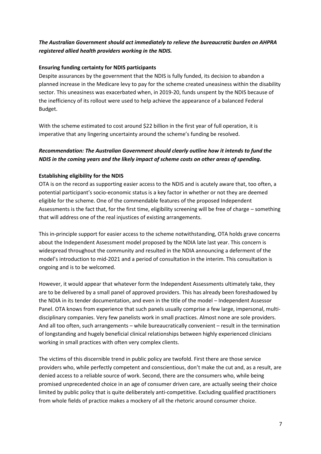## *The Australian Government should act immediately to relieve the bureaucratic burden on AHPRA registered allied health providers working in the NDIS.*

### **Ensuring funding certainty for NDIS participants**

Despite assurances by the government that the NDIS is fully funded, its decision to abandon a planned increase in the Medicare levy to pay for the scheme created uneasiness within the disability sector. This uneasiness was exacerbated when, in 2019-20, funds unspent by the NDIS because of the inefficiency of its rollout were used to help achieve the appearance of a balanced Federal Budget.

With the scheme estimated to cost around \$22 billion in the first year of full operation, it is imperative that any lingering uncertainty around the scheme's funding be resolved.

## *Recommendation: The Australian Government should clearly outline how it intends to fund the NDIS in the coming years and the likely impact of scheme costs on other areas of spending.*

### **Establishing eligibility for the NDIS**

OTA is on the record as supporting easier access to the NDIS and is acutely aware that, too often, a potential participant's socio-economic status is a key factor in whether or not they are deemed eligible for the scheme. One of the commendable features of the proposed Independent Assessments is the fact that, for the first time, eligibility screening will be free of charge – something that will address one of the real injustices of existing arrangements.

This in-principle support for easier access to the scheme notwithstanding, OTA holds grave concerns about the Independent Assessment model proposed by the NDIA late last year. This concern is widespread throughout the community and resulted in the NDIA announcing a deferment of the model's introduction to mid-2021 and a period of consultation in the interim. This consultation is ongoing and is to be welcomed.

However, it would appear that whatever form the Independent Assessments ultimately take, they are to be delivered by a small panel of approved providers. This has already been foreshadowed by the NDIA in its tender documentation, and even in the title of the model – Independent Assessor Panel. OTA knows from experience that such panels usually comprise a few large, impersonal, multidisciplinary companies. Very few panelists work in small practices. Almost none are sole providers. And all too often, such arrangements – while bureaucratically convenient – result in the termination of longstanding and hugely beneficial clinical relationships between highly experienced clinicians working in small practices with often very complex clients.

The victims of this discernible trend in public policy are twofold. First there are those service providers who, while perfectly competent and conscientious, don't make the cut and, as a result, are denied access to a reliable source of work. Second, there are the consumers who, while being promised unprecedented choice in an age of consumer driven care, are actually seeing their choice limited by public policy that is quite deliberately anti-competitive. Excluding qualified practitioners from whole fields of practice makes a mockery of all the rhetoric around consumer choice.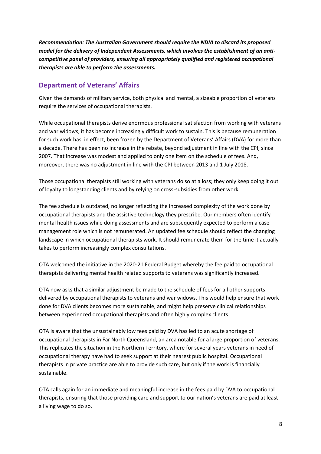*Recommendation: The Australian Government should require the NDIA to discard its proposed model for the delivery of Independent Assessments, which involves the establishment of an anticompetitive panel of providers, ensuring all appropriately qualified and registered occupational therapists are able to perform the assessments.*

## **Department of Veterans' Affairs**

Given the demands of military service, both physical and mental, a sizeable proportion of veterans require the services of occupational therapists.

While occupational therapists derive enormous professional satisfaction from working with veterans and war widows, it has become increasingly difficult work to sustain. This is because remuneration for such work has, in effect, been frozen by the Department of Veterans' Affairs (DVA) for more than a decade. There has been no increase in the rebate, beyond adjustment in line with the CPI, since 2007. That increase was modest and applied to only one item on the schedule of fees. And, moreover, there was no adjustment in line with the CPI between 2013 and 1 July 2018.

Those occupational therapists still working with veterans do so at a loss; they only keep doing it out of loyalty to longstanding clients and by relying on cross-subsidies from other work.

The fee schedule is outdated, no longer reflecting the increased complexity of the work done by occupational therapists and the assistive technology they prescribe. Our members often identify mental health issues while doing assessments and are subsequently expected to perform a case management role which is not remunerated. An updated fee schedule should reflect the changing landscape in which occupational therapists work. It should remunerate them for the time it actually takes to perform increasingly complex consultations.

OTA welcomed the initiative in the 2020-21 Federal Budget whereby the fee paid to occupational therapists delivering mental health related supports to veterans was significantly increased.

OTA now asks that a similar adjustment be made to the schedule of fees for all other supports delivered by occupational therapists to veterans and war widows. This would help ensure that work done for DVA clients becomes more sustainable, and might help preserve clinical relationships between experienced occupational therapists and often highly complex clients.

OTA is aware that the unsustainably low fees paid by DVA has led to an acute shortage of occupational therapists in Far North Queensland, an area notable for a large proportion of veterans. This replicates the situation in the Northern Territory, where for several years veterans in need of occupational therapy have had to seek support at their nearest public hospital. Occupational therapists in private practice are able to provide such care, but only if the work is financially sustainable.

OTA calls again for an immediate and meaningful increase in the fees paid by DVA to occupational therapists, ensuring that those providing care and support to our nation's veterans are paid at least a living wage to do so.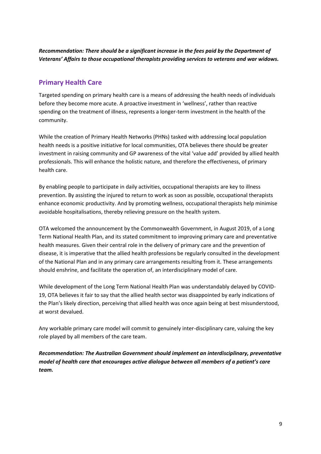*Recommendation: There should be a significant increase in the fees paid by the Department of Veterans' Affairs to those occupational therapists providing services to veterans and war widows.*

## **Primary Health Care**

Targeted spending on primary health care is a means of addressing the health needs of individuals before they become more acute. A proactive investment in 'wellness', rather than reactive spending on the treatment of illness, represents a longer-term investment in the health of the community.

While the creation of Primary Health Networks (PHNs) tasked with addressing local population health needs is a positive initiative for local communities, OTA believes there should be greater investment in raising community and GP awareness of the vital 'value add' provided by allied health professionals. This will enhance the holistic nature, and therefore the effectiveness, of primary health care.

By enabling people to participate in daily activities, occupational therapists are key to illness prevention. By assisting the injured to return to work as soon as possible, occupational therapists enhance economic productivity. And by promoting wellness, occupational therapists help minimise avoidable hospitalisations, thereby relieving pressure on the health system.

OTA welcomed the announcement by the Commonwealth Government, in August 2019, of a Long Term National Health Plan, and its stated commitment to improving primary care and preventative health measures. Given their central role in the delivery of primary care and the prevention of disease, it is imperative that the allied health professions be regularly consulted in the development of the National Plan and in any primary care arrangements resulting from it. These arrangements should enshrine, and facilitate the operation of, an interdisciplinary model of care.

While development of the Long Term National Health Plan was understandably delayed by COVID-19, OTA believes it fair to say that the allied health sector was disappointed by early indications of the Plan's likely direction, perceiving that allied health was once again being at best misunderstood, at worst devalued.

Any workable primary care model will commit to genuinely inter-disciplinary care, valuing the key role played by all members of the care team.

*Recommendation: The Australian Government should implement an interdisciplinary, preventative model of health care that encourages active dialogue between all members of a patient's care team.*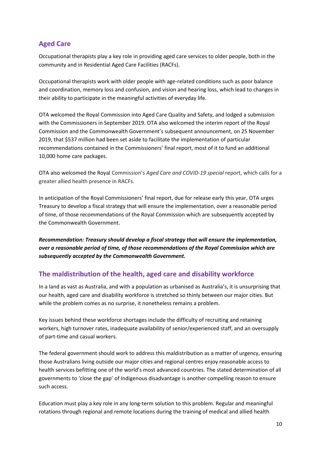# **Aged Care**

Occupational therapists play a key role in providing aged care services to older people, both in the community and in Residential Aged Care Facilities (RACFs).

Occupational therapists work with older people with age-related conditions such as poor balance and coordination, memory loss and confusion, and vision and hearing loss, which lead to changes in their ability to participate in the meaningful activities of everyday life.

OTA welcomed the Royal Commission into Aged Care Quality and Safety, and lodged a submission with the Commissioners in September 2019. OTA also welcomed the interim report of the Royal Commission and the Commonwealth Government's subsequent announcement, on 25 November 2019, that \$537 million had been set aside to facilitate the implementation of particular recommendations contained in the Commissioners' final report, most of it to fund an additional 10,000 home care packages.

OTA also welcomed the Royal Commission's *Aged Care and COVID-19 special* report, which calls for a greater allied health presence in RACFs.

In anticipation of the Royal Commissioners' final report, due for release early this year, OTA urges Treasury to develop a fiscal strategy that will ensure the implementation, over a reasonable period of time, of those recommendations of the Royal Commission which are subsequently accepted by the Commonwealth Government.

*Recommendation: Treasury should develop a fiscal strategy that will ensure the implementation, over a reasonable period of time, of those recommendations of the Royal Commission which are subsequently accepted by the Commonwealth Government.*

# **The maldistribution of the health, aged care and disability workforce**

In a land as vast as Australia, and with a population as urbanised as Australia's, it is unsurprising that our health, aged care and disability workforce is stretched so thinly between our major cities. But while the problem comes as no surprise, it nonetheless remains a problem.

Key issues behind these workforce shortages include the difficulty of recruiting and retaining workers, high turnover rates, inadequate availability of senior/experienced staff, and an oversupply of part-time and casual workers.

The federal government should work to address this maldistribution as a matter of urgency, ensuring those Australians living outside our major cities and regional centres enjoy reasonable access to health services befitting one of the world's most advanced countries. The stated determination of all governments to 'close the gap' of Indigenous disadvantage is another compelling reason to ensure such access.

Education must play a key role in any long-term solution to this problem. Regular and meaningful rotations through regional and remote locations during the training of medical and allied health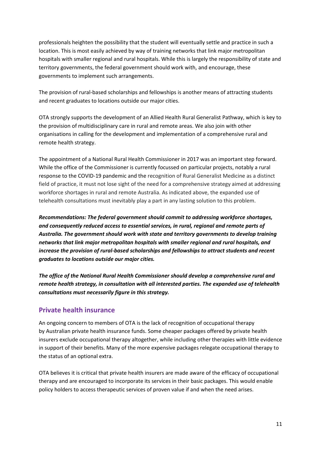professionals heighten the possibility that the student will eventually settle and practice in such a location. This is most easily achieved by way of training networks that link major metropolitan hospitals with smaller regional and rural hospitals. While this is largely the responsibility of state and territory governments, the federal government should work with, and encourage, these governments to implement such arrangements.

The provision of rural-based scholarships and fellowships is another means of attracting students and recent graduates to locations outside our major cities.

OTA strongly supports the development of an Allied Health Rural Generalist Pathway, which is key to the provision of multidisciplinary care in rural and remote areas. We also join with other organisations in calling for the development and implementation of a comprehensive rural and remote health strategy.

The appointment of a National Rural Health Commissioner in 2017 was an important step forward. While the office of the Commissioner is currently focussed on particular projects, notably a rural response to the COVID-19 pandemic and the recognition of Rural Generalist Medicine as a distinct field of practice, it must not lose sight of the need for a comprehensive strategy aimed at addressing workforce shortages in rural and remote Australia. As indicated above, the expanded use of telehealth consultations must inevitably play a part in any lasting solution to this problem.

*Recommendations: The federal government should commit to addressing workforce shortages, and consequently reduced access to essential services, in rural, regional and remote parts of Australia. The government should work with state and territory governments to develop training networks that link major metropolitan hospitals with smaller regional and rural hospitals, and increase the provision of rural-based scholarships and fellowships to attract students and recent graduates to locations outside our major cities.*

*The office of the National Rural Health Commissioner should develop a comprehensive rural and remote health strategy, in consultation with all interested parties. The expanded use of telehealth consultations must necessarily figure in this strategy.*

## **Private health insurance**

An ongoing concern to members of OTA is the lack of recognition of occupational therapy by Australian private health insurance funds. Some cheaper packages offered by private health insurers exclude occupational therapy altogether, while including other therapies with little evidence in support of their benefits. Many of the more expensive packages relegate occupational therapy to the status of an optional extra.

OTA believes it is critical that private health insurers are made aware of the efficacy of occupational therapy and are encouraged to incorporate its services in their basic packages. This would enable policy holders to access therapeutic services of proven value if and when the need arises.